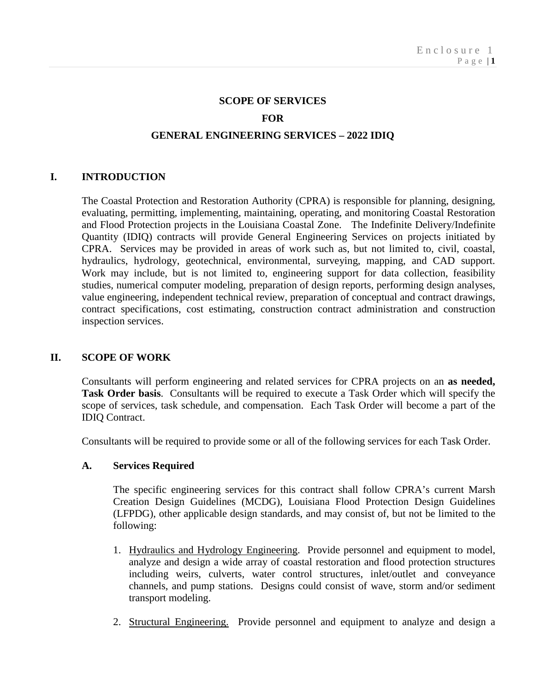#### **SCOPE OF SERVICES**

## **FOR**

# **GENERAL ENGINEERING SERVICES – 2022 IDIQ**

## **I. INTRODUCTION**

The Coastal Protection and Restoration Authority (CPRA) is responsible for planning, designing, evaluating, permitting, implementing, maintaining, operating, and monitoring Coastal Restoration and Flood Protection projects in the Louisiana Coastal Zone. The Indefinite Delivery/Indefinite Quantity (IDIQ) contracts will provide General Engineering Services on projects initiated by CPRA. Services may be provided in areas of work such as, but not limited to, civil, coastal, hydraulics, hydrology, geotechnical, environmental, surveying, mapping, and CAD support. Work may include, but is not limited to, engineering support for data collection, feasibility studies, numerical computer modeling, preparation of design reports, performing design analyses, value engineering, independent technical review, preparation of conceptual and contract drawings, contract specifications, cost estimating, construction contract administration and construction inspection services.

#### **II. SCOPE OF WORK**

Consultants will perform engineering and related services for CPRA projects on an **as needed, Task Order basis**. Consultants will be required to execute a Task Order which will specify the scope of services, task schedule, and compensation. Each Task Order will become a part of the IDIQ Contract.

Consultants will be required to provide some or all of the following services for each Task Order.

#### **A. Services Required**

The specific engineering services for this contract shall follow CPRA's current Marsh Creation Design Guidelines (MCDG), Louisiana Flood Protection Design Guidelines (LFPDG), other applicable design standards, and may consist of, but not be limited to the following:

- 1. Hydraulics and Hydrology Engineering. Provide personnel and equipment to model, analyze and design a wide array of coastal restoration and flood protection structures including weirs, culverts, water control structures, inlet/outlet and conveyance channels, and pump stations. Designs could consist of wave, storm and/or sediment transport modeling.
- 2. Structural Engineering. Provide personnel and equipment to analyze and design a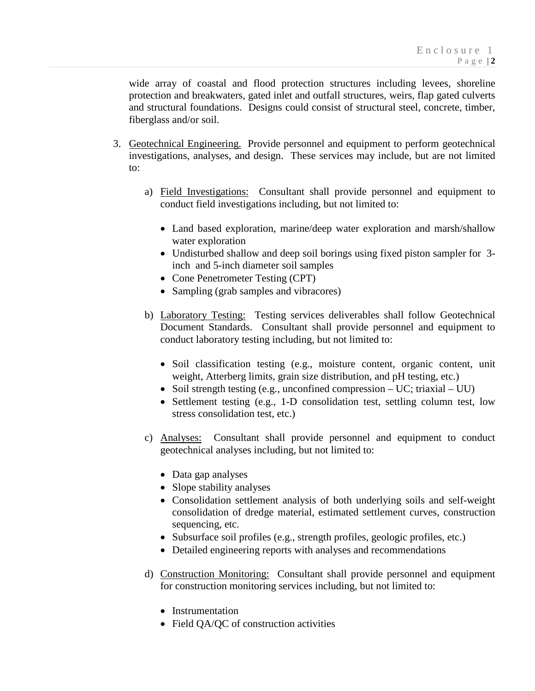wide array of coastal and flood protection structures including levees, shoreline protection and breakwaters, gated inlet and outfall structures, weirs, flap gated culverts and structural foundations. Designs could consist of structural steel, concrete, timber, fiberglass and/or soil.

- 3. Geotechnical Engineering. Provide personnel and equipment to perform geotechnical investigations, analyses, and design. These services may include, but are not limited to:
	- a) Field Investigations: Consultant shall provide personnel and equipment to conduct field investigations including, but not limited to:
		- Land based exploration, marine/deep water exploration and marsh/shallow water exploration
		- Undisturbed shallow and deep soil borings using fixed piston sampler for 3 inch and 5-inch diameter soil samples
		- Cone Penetrometer Testing (CPT)
		- Sampling (grab samples and vibracores)
	- b) Laboratory Testing: Testing services deliverables shall follow Geotechnical Document Standards. Consultant shall provide personnel and equipment to conduct laboratory testing including, but not limited to:
		- Soil classification testing (e.g., moisture content, organic content, unit weight, Atterberg limits, grain size distribution, and pH testing, etc.)
		- Soil strength testing (e.g., unconfined compression UC; triaxial UU)
		- Settlement testing (e.g., 1-D consolidation test, settling column test, low stress consolidation test, etc.)
	- c) Analyses: Consultant shall provide personnel and equipment to conduct geotechnical analyses including, but not limited to:
		- Data gap analyses
		- Slope stability analyses
		- Consolidation settlement analysis of both underlying soils and self-weight consolidation of dredge material, estimated settlement curves, construction sequencing, etc.
		- Subsurface soil profiles (e.g., strength profiles, geologic profiles, etc.)
		- Detailed engineering reports with analyses and recommendations
	- d) Construction Monitoring: Consultant shall provide personnel and equipment for construction monitoring services including, but not limited to:
		- Instrumentation
		- Field QA/QC of construction activities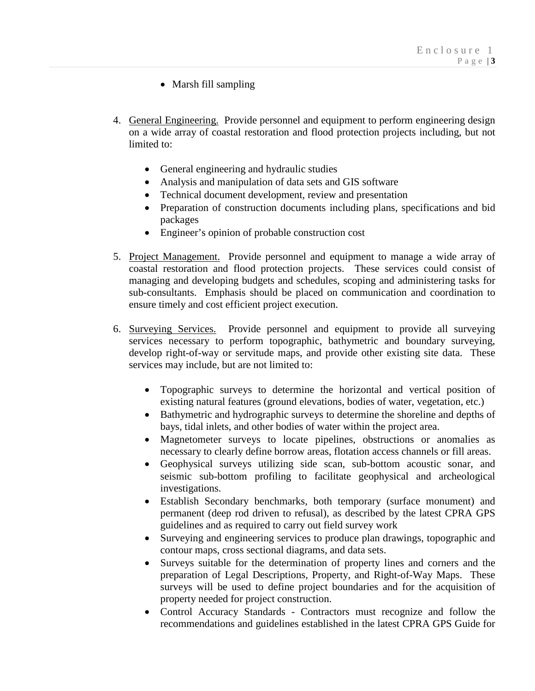- Marsh fill sampling
- 4. General Engineering. Provide personnel and equipment to perform engineering design on a wide array of coastal restoration and flood protection projects including, but not limited to:
	- General engineering and hydraulic studies
	- Analysis and manipulation of data sets and GIS software
	- Technical document development, review and presentation
	- Preparation of construction documents including plans, specifications and bid packages
	- Engineer's opinion of probable construction cost
- 5. Project Management. Provide personnel and equipment to manage a wide array of coastal restoration and flood protection projects. These services could consist of managing and developing budgets and schedules, scoping and administering tasks for sub-consultants. Emphasis should be placed on communication and coordination to ensure timely and cost efficient project execution.
- 6. Surveying Services. Provide personnel and equipment to provide all surveying services necessary to perform topographic, bathymetric and boundary surveying, develop right-of-way or servitude maps, and provide other existing site data. These services may include, but are not limited to:
	- Topographic surveys to determine the horizontal and vertical position of existing natural features (ground elevations, bodies of water, vegetation, etc.)
	- Bathymetric and hydrographic surveys to determine the shoreline and depths of bays, tidal inlets, and other bodies of water within the project area.
	- Magnetometer surveys to locate pipelines, obstructions or anomalies as necessary to clearly define borrow areas, flotation access channels or fill areas.
	- Geophysical surveys utilizing side scan, sub-bottom acoustic sonar, and seismic sub-bottom profiling to facilitate geophysical and archeological investigations.
	- Establish Secondary benchmarks, both temporary (surface monument) and permanent (deep rod driven to refusal), as described by the latest CPRA GPS guidelines and as required to carry out field survey work
	- Surveying and engineering services to produce plan drawings, topographic and contour maps, cross sectional diagrams, and data sets.
	- Surveys suitable for the determination of property lines and corners and the preparation of Legal Descriptions, Property, and Right-of-Way Maps. These surveys will be used to define project boundaries and for the acquisition of property needed for project construction.
	- Control Accuracy Standards Contractors must recognize and follow the recommendations and guidelines established in the latest CPRA GPS Guide for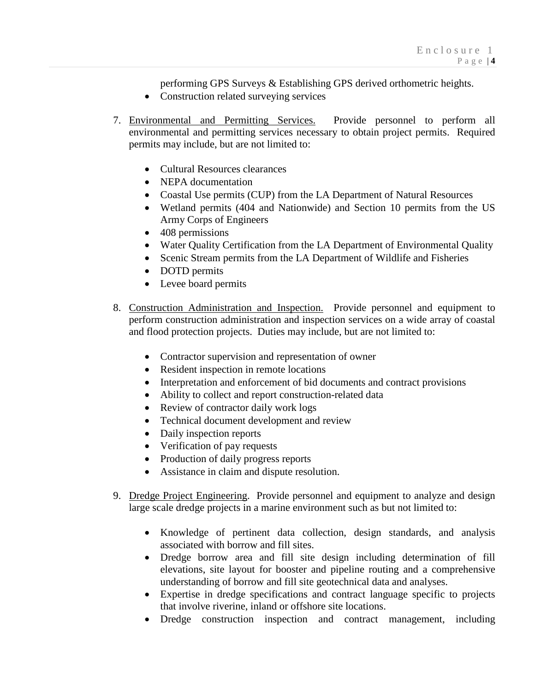performing GPS Surveys & Establishing GPS derived orthometric heights.

- Construction related surveying services
- 7. Environmental and Permitting Services. Provide personnel to perform all environmental and permitting services necessary to obtain project permits. Required permits may include, but are not limited to:
	- Cultural Resources clearances
	- NEPA documentation
	- Coastal Use permits (CUP) from the LA Department of Natural Resources
	- Wetland permits (404 and Nationwide) and Section 10 permits from the US Army Corps of Engineers
	- 408 permissions
	- Water Quality Certification from the LA Department of Environmental Quality
	- Scenic Stream permits from the LA Department of Wildlife and Fisheries
	- DOTD permits
	- Levee board permits
- 8. Construction Administration and Inspection. Provide personnel and equipment to perform construction administration and inspection services on a wide array of coastal and flood protection projects. Duties may include, but are not limited to:
	- Contractor supervision and representation of owner
	- Resident inspection in remote locations
	- Interpretation and enforcement of bid documents and contract provisions
	- Ability to collect and report construction-related data
	- Review of contractor daily work logs
	- Technical document development and review
	- Daily inspection reports
	- Verification of pay requests
	- Production of daily progress reports
	- Assistance in claim and dispute resolution.
- 9. Dredge Project Engineering. Provide personnel and equipment to analyze and design large scale dredge projects in a marine environment such as but not limited to:
	- Knowledge of pertinent data collection, design standards, and analysis associated with borrow and fill sites.
	- Dredge borrow area and fill site design including determination of fill elevations, site layout for booster and pipeline routing and a comprehensive understanding of borrow and fill site geotechnical data and analyses.
	- Expertise in dredge specifications and contract language specific to projects that involve riverine, inland or offshore site locations.
	- Dredge construction inspection and contract management, including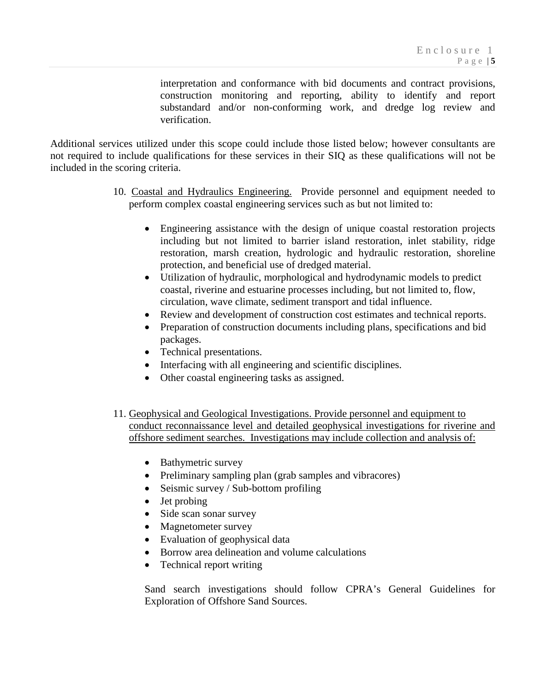interpretation and conformance with bid documents and contract provisions, construction monitoring and reporting, ability to identify and report substandard and/or non-conforming work, and dredge log review and verification.

Additional services utilized under this scope could include those listed below; however consultants are not required to include qualifications for these services in their SIQ as these qualifications will not be included in the scoring criteria.

- 10. Coastal and Hydraulics Engineering. Provide personnel and equipment needed to perform complex coastal engineering services such as but not limited to:
	- Engineering assistance with the design of unique coastal restoration projects including but not limited to barrier island restoration, inlet stability, ridge restoration, marsh creation, hydrologic and hydraulic restoration, shoreline protection, and beneficial use of dredged material.
	- Utilization of hydraulic, morphological and hydrodynamic models to predict coastal, riverine and estuarine processes including, but not limited to, flow, circulation, wave climate, sediment transport and tidal influence.
	- Review and development of construction cost estimates and technical reports.
	- Preparation of construction documents including plans, specifications and bid packages.
	- Technical presentations.
	- Interfacing with all engineering and scientific disciplines.
	- Other coastal engineering tasks as assigned.
- 11. Geophysical and Geological Investigations. Provide personnel and equipment to conduct reconnaissance level and detailed geophysical investigations for riverine and offshore sediment searches. Investigations may include collection and analysis of:
	- Bathymetric survey
	- Preliminary sampling plan (grab samples and vibracores)
	- Seismic survey / Sub-bottom profiling
	- Jet probing
	- Side scan sonar survey
	- Magnetometer survey
	- Evaluation of geophysical data
	- Borrow area delineation and volume calculations
	- Technical report writing

Sand search investigations should follow CPRA's General Guidelines for Exploration of Offshore Sand Sources.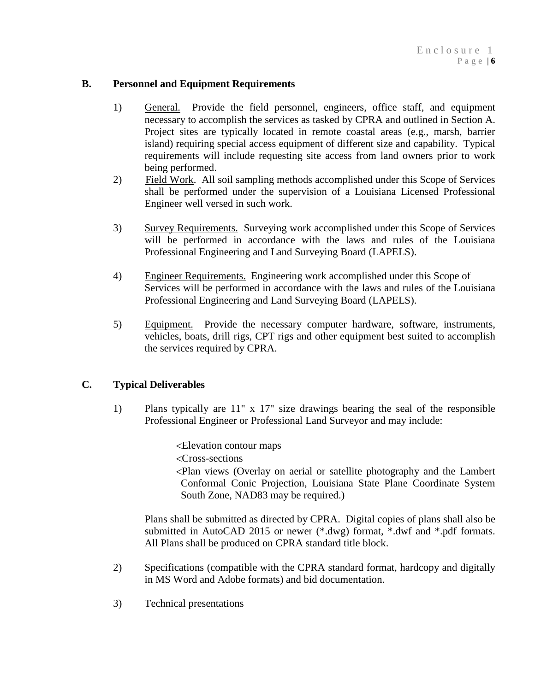# **B. Personnel and Equipment Requirements**

- 1) General. Provide the field personnel, engineers, office staff, and equipment necessary to accomplish the services as tasked by CPRA and outlined in Section A. Project sites are typically located in remote coastal areas (e.g., marsh, barrier island) requiring special access equipment of different size and capability. Typical requirements will include requesting site access from land owners prior to work being performed.
- 2) Field Work. All soil sampling methods accomplished under this Scope of Services shall be performed under the supervision of a Louisiana Licensed Professional Engineer well versed in such work.
- 3) Survey Requirements. Surveying work accomplished under this Scope of Services will be performed in accordance with the laws and rules of the Louisiana Professional Engineering and Land Surveying Board (LAPELS).
- 4) Engineer Requirements. Engineering work accomplished under this Scope of Services will be performed in accordance with the laws and rules of the Louisiana Professional Engineering and Land Surveying Board (LAPELS).
- 5) Equipment. Provide the necessary computer hardware, software, instruments, vehicles, boats, drill rigs, CPT rigs and other equipment best suited to accomplish the services required by CPRA.

# **C. Typical Deliverables**

1) Plans typically are 11" x 17" size drawings bearing the seal of the responsible Professional Engineer or Professional Land Surveyor and may include:

<Elevation contour maps

<Cross-sections

<Plan views (Overlay on aerial or satellite photography and the Lambert Conformal Conic Projection, Louisiana State Plane Coordinate System South Zone, NAD83 may be required.)

Plans shall be submitted as directed by CPRA. Digital copies of plans shall also be submitted in AutoCAD 2015 or newer (\*.dwg) format, \*.dwf and \*.pdf formats. All Plans shall be produced on CPRA standard title block.

- 2) Specifications (compatible with the CPRA standard format, hardcopy and digitally in MS Word and Adobe formats) and bid documentation.
- 3) Technical presentations